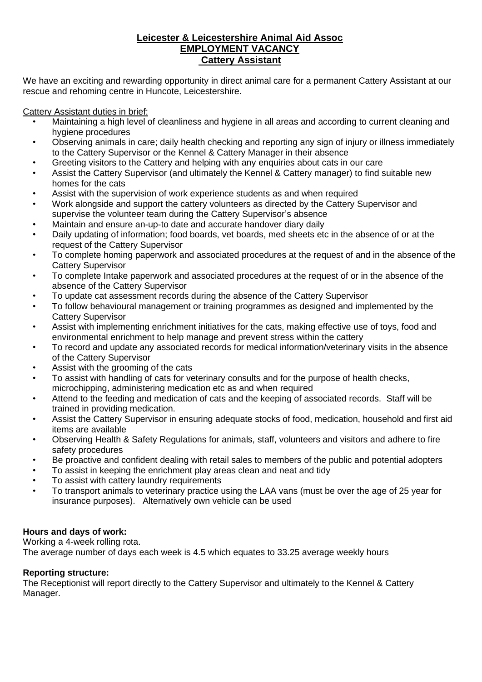# **Leicester & Leicestershire Animal Aid Assoc EMPLOYMENT VACANCY Cattery Assistant**

We have an exciting and rewarding opportunity in direct animal care for a permanent Cattery Assistant at our rescue and rehoming centre in Huncote, Leicestershire.

Cattery Assistant duties in brief:

- Maintaining a high level of cleanliness and hygiene in all areas and according to current cleaning and hygiene procedures
- Observing animals in care; daily health checking and reporting any sign of injury or illness immediately to the Cattery Supervisor or the Kennel & Cattery Manager in their absence
- Greeting visitors to the Cattery and helping with any enquiries about cats in our care
- Assist the Cattery Supervisor (and ultimately the Kennel & Cattery manager) to find suitable new homes for the cats
- Assist with the supervision of work experience students as and when required
- Work alongside and support the cattery volunteers as directed by the Cattery Supervisor and supervise the volunteer team during the Cattery Supervisor's absence
- Maintain and ensure an-up-to date and accurate handover diary daily
- Daily updating of information; food boards, vet boards, med sheets etc in the absence of or at the request of the Cattery Supervisor
- To complete homing paperwork and associated procedures at the request of and in the absence of the Cattery Supervisor
- To complete Intake paperwork and associated procedures at the request of or in the absence of the absence of the Cattery Supervisor
- To update cat assessment records during the absence of the Cattery Supervisor
- To follow behavioural management or training programmes as designed and implemented by the Cattery Supervisor
- Assist with implementing enrichment initiatives for the cats, making effective use of toys, food and environmental enrichment to help manage and prevent stress within the cattery
- To record and update any associated records for medical information/veterinary visits in the absence of the Cattery Supervisor
- Assist with the grooming of the cats
- To assist with handling of cats for veterinary consults and for the purpose of health checks, microchipping, administering medication etc as and when required
- Attend to the feeding and medication of cats and the keeping of associated records. Staff will be trained in providing medication.
- Assist the Cattery Supervisor in ensuring adequate stocks of food, medication, household and first aid items are available
- Observing Health & Safety Regulations for animals, staff, volunteers and visitors and adhere to fire safety procedures
- Be proactive and confident dealing with retail sales to members of the public and potential adopters
- To assist in keeping the enrichment play areas clean and neat and tidy
- To assist with cattery laundry requirements
- To transport animals to veterinary practice using the LAA vans (must be over the age of 25 year for insurance purposes). Alternatively own vehicle can be used

## **Hours and days of work:**

Working a 4-week rolling rota.

The average number of days each week is 4.5 which equates to 33.25 average weekly hours

#### **Reporting structure:**

The Receptionist will report directly to the Cattery Supervisor and ultimately to the Kennel & Cattery Manager.